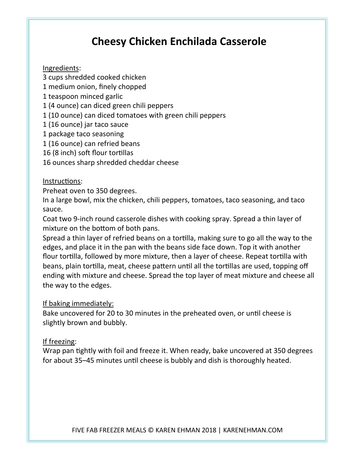# **Cheesy Chicken Enchilada Casserole**

## Ingredients:

- 3 cups shredded cooked chicken
- 1 medium onion, finely chopped
- 1 teaspoon minced garlic
- 1 (4 ounce) can diced green chili peppers
- 1 (10 ounce) can diced tomatoes with green chili peppers
- 1 (16 ounce) jar taco sauce
- 1 package taco seasoning
- 1 (16 ounce) can refried beans
- 16 (8 inch) soft flour tortillas
- 16 ounces sharp shredded cheddar cheese

## Instructions:

Preheat oven to 350 degrees.

In a large bowl, mix the chicken, chili peppers, tomatoes, taco seasoning, and taco sauce. 

Coat two 9-inch round casserole dishes with cooking spray. Spread a thin layer of mixture on the bottom of both pans.

Spread a thin layer of refried beans on a tortilla, making sure to go all the way to the edges, and place it in the pan with the beans side face down. Top it with another flour tortilla, followed by more mixture, then a layer of cheese. Repeat tortilla with beans, plain tortilla, meat, cheese pattern until all the tortillas are used, topping off ending with mixture and cheese. Spread the top layer of meat mixture and cheese all the way to the edges.

## If baking immediately:

Bake uncovered for 20 to 30 minutes in the preheated oven, or until cheese is slightly brown and bubbly.

## If freezing:

Wrap pan tightly with foil and freeze it. When ready, bake uncovered at 350 degrees for about 35–45 minutes until cheese is bubbly and dish is thoroughly heated.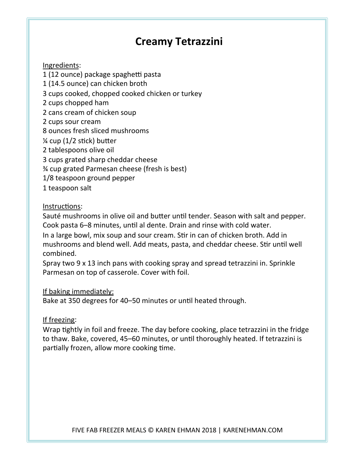## **Creamy 
 Tetrazzini**

### Ingredients:

- 1 (12 ounce) package spaghetti pasta
- 1 (14.5 ounce) can chicken broth
- 3 cups cooked, chopped cooked chicken or turkey
- 2 cups chopped ham
- 2 cans cream of chicken soup
- 2 cups sour cream
- 8 ounces fresh sliced mushrooms
- $\frac{1}{2}$  cup (1/2 stick) butter
- 2 tablespoons olive oil
- 3 cups grated sharp cheddar cheese
- % cup grated Parmesan cheese (fresh is best)
- 1/8 teaspoon ground pepper
- 1 teaspoon salt

### Instructions:

Sauté mushrooms in olive oil and butter until tender. Season with salt and pepper. Cook pasta 6–8 minutes, until al dente. Drain and rinse with cold water.

In a large bowl, mix soup and sour cream. Stir in can of chicken broth. Add in mushrooms and blend well. Add meats, pasta, and cheddar cheese. Stir until well combined. 

Spray two  $9 \times 13$  inch pans with cooking spray and spread tetrazzini in. Sprinkle Parmesan on top of casserole. Cover with foil.

### If baking immediately:

Bake at 350 degrees for 40-50 minutes or until heated through.

## If freezing:

Wrap tightly in foil and freeze. The day before cooking, place tetrazzini in the fridge to thaw. Bake, covered, 45–60 minutes, or until thoroughly heated. If tetrazzini is partially frozen, allow more cooking time.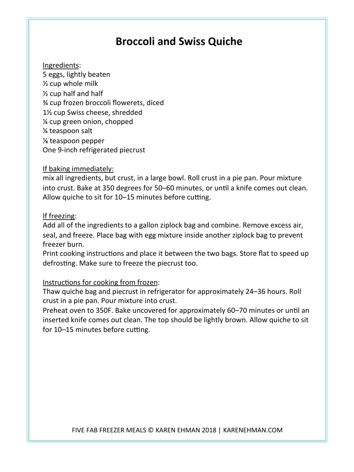## **Broccoli and Swiss Quiche**

#### Ingredients:

5 
 eggs, 
 lightly 
 beaten 
  $\frac{1}{2}$  cup whole milk  $\frac{1}{2}$  cup half and half % cup frozen broccoli flowerets, diced 1<sup>1</sup>/<sub>2</sub> cup Swiss cheese, shredded  $\frac{1}{4}$  cup green onion, chopped % teaspoon salt ⅛ 
 teaspoon 
 pepper 
 One 9-inch refrigerated piecrust

#### If baking immediately:

mix all ingredients, but crust, in a large bowl. Roll crust in a pie pan. Pour mixture into crust. Bake at 350 degrees for 50–60 minutes, or until a knife comes out clean. Allow quiche to sit for 10-15 minutes before cutting.

#### If freezing:

Add all of the ingredients to a gallon ziplock bag and combine. Remove excess air, seal, and freeze. Place bag with egg mixture inside another ziplock bag to prevent freezer burn.

Print cooking instructions and place it between the two bags. Store flat to speed up defrosting. Make sure to freeze the piecrust too.

### Instructions for cooking from frozen:

Thaw quiche bag and piecrust in refrigerator for approximately 24-36 hours. Roll crust in a pie pan. Pour mixture into crust.

Preheat oven to 350F. Bake uncovered for approximately 60-70 minutes or until an inserted knife comes out clean. The top should be lightly brown. Allow quiche to sit for 10–15 minutes before cutting.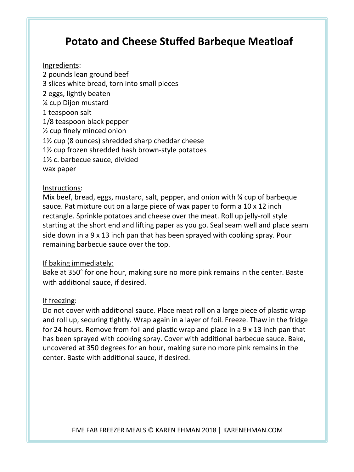## **Potato and Cheese Stuffed Barbeque Meatloaf**

#### Ingredients:

2 pounds lean ground beef 3 slices white bread, torn into small pieces 2 eggs, lightly beaten **1/<sub>2</sub>** cup Dijon mustard 1 teaspoon salt 1/8 teaspoon black pepper  $\frac{1}{2}$  cup finely minced onion  $1\frac{1}{2}$  cup (8 ounces) shredded sharp cheddar cheese 1% cup frozen shredded hash brown-style potatoes 1<sup>1</sup>/<sub>2</sub> c. barbecue sauce, divided wax paper

#### Instructions:

Mix beef, bread, eggs, mustard, salt, pepper, and onion with  $\frac{3}{4}$  cup of barbeque sauce. Pat mixture out on a large piece of wax paper to form a 10 x 12 inch rectangle. Sprinkle potatoes and cheese over the meat. Roll up jelly-roll style starting at the short end and lifting paper as you go. Seal seam well and place seam side down in a  $9 \times 13$  inch pan that has been sprayed with cooking spray. Pour remaining barbecue sauce over the top.

#### If baking immediately:

Bake at 350° for one hour, making sure no more pink remains in the center. Baste with additional sauce, if desired.

#### If freezing:

Do not cover with additional sauce. Place meat roll on a large piece of plastic wrap and roll up, securing tightly. Wrap again in a layer of foil. Freeze. Thaw in the fridge for 24 hours. Remove from foil and plastic wrap and place in a  $9 \times 13$  inch pan that has been sprayed with cooking spray. Cover with additional barbecue sauce. Bake, uncovered at 350 degrees for an hour, making sure no more pink remains in the center. Baste with additional sauce, if desired.